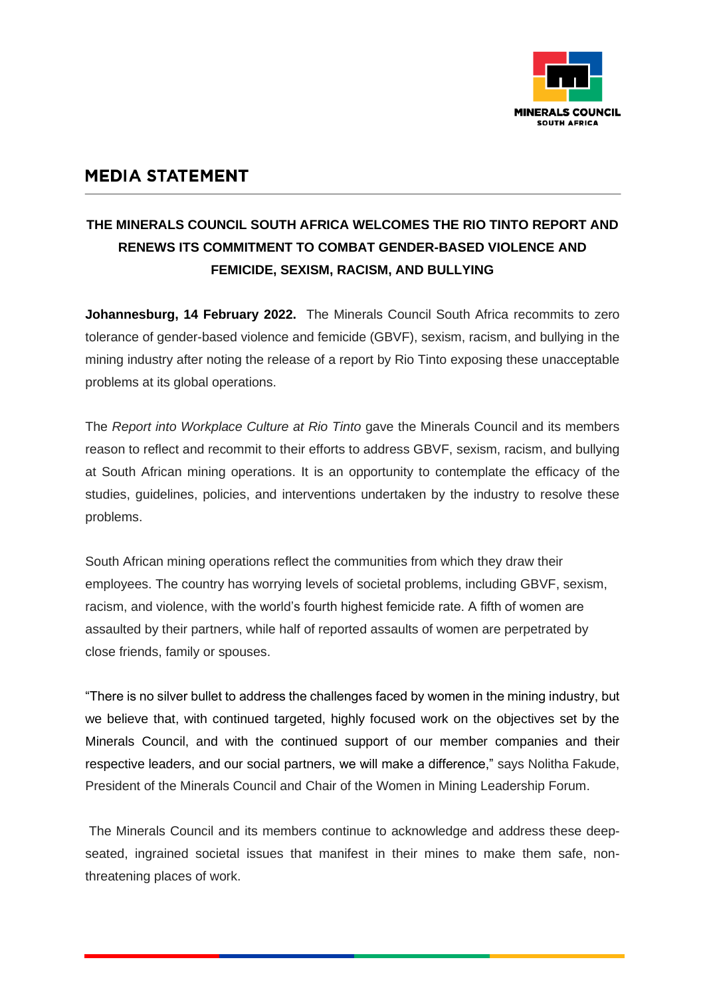

## **MEDIA STATEMENT**

## **THE MINERALS COUNCIL SOUTH AFRICA WELCOMES THE RIO TINTO REPORT AND RENEWS ITS COMMITMENT TO COMBAT GENDER-BASED VIOLENCE AND FEMICIDE, SEXISM, RACISM, AND BULLYING**

**Johannesburg, 14 February 2022.** The Minerals Council South Africa recommits to zero tolerance of gender-based violence and femicide (GBVF), sexism, racism, and bullying in the mining industry after noting the release of a report by Rio Tinto exposing these unacceptable problems at its global operations.

The *Report into Workplace Culture at Rio Tinto* gave the Minerals Council and its members reason to reflect and recommit to their efforts to address GBVF, sexism, racism, and bullying at South African mining operations. It is an opportunity to contemplate the efficacy of the studies, guidelines, policies, and interventions undertaken by the industry to resolve these problems.

South African mining operations reflect the communities from which they draw their employees. The country has worrying levels of societal problems, including GBVF, sexism, racism, and violence, with the world's fourth highest femicide rate. A fifth of women are assaulted by their partners, while half of reported assaults of women are perpetrated by close friends, family or spouses.

"There is no silver bullet to address the challenges faced by women in the mining industry, but we believe that, with continued targeted, highly focused work on the objectives set by the Minerals Council, and with the continued support of our member companies and their respective leaders, and our social partners, we will make a difference," says Nolitha Fakude, President of the Minerals Council and Chair of the Women in Mining Leadership Forum.

The Minerals Council and its members continue to acknowledge and address these deepseated, ingrained societal issues that manifest in their mines to make them safe, nonthreatening places of work.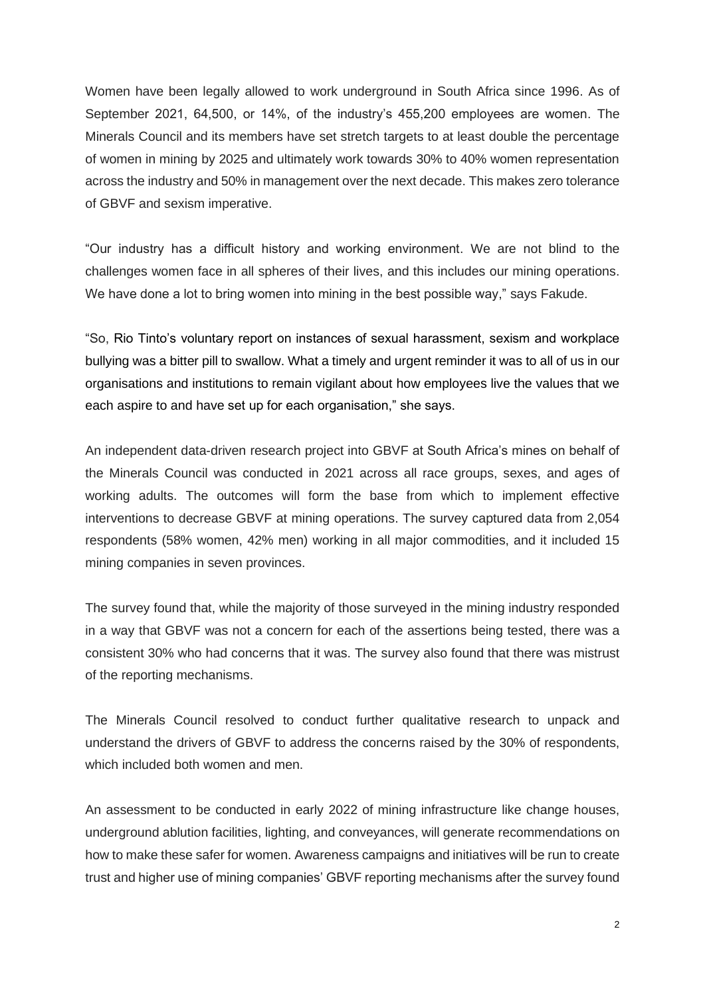Women have been legally allowed to work underground in South Africa since 1996. As of September 2021, 64,500, or 14%, of the industry's 455,200 employees are women. The Minerals Council and its members have set stretch targets to at least double the percentage of women in mining by 2025 and ultimately work towards 30% to 40% women representation across the industry and 50% in management over the next decade. This makes zero tolerance of GBVF and sexism imperative.

"Our industry has a difficult history and working environment. We are not blind to the challenges women face in all spheres of their lives, and this includes our mining operations. We have done a lot to bring women into mining in the best possible way," says Fakude.

"So, Rio Tinto's voluntary report on instances of sexual harassment, sexism and workplace bullying was a bitter pill to swallow. What a timely and urgent reminder it was to all of us in our organisations and institutions to remain vigilant about how employees live the values that we each aspire to and have set up for each organisation," she says.

An independent data-driven research project into GBVF at South Africa's mines on behalf of the Minerals Council was conducted in 2021 across all race groups, sexes, and ages of working adults. The outcomes will form the base from which to implement effective interventions to decrease GBVF at mining operations. The survey captured data from 2,054 respondents (58% women, 42% men) working in all major commodities, and it included 15 mining companies in seven provinces.

The survey found that, while the majority of those surveyed in the mining industry responded in a way that GBVF was not a concern for each of the assertions being tested, there was a consistent 30% who had concerns that it was. The survey also found that there was mistrust of the reporting mechanisms.

The Minerals Council resolved to conduct further qualitative research to unpack and understand the drivers of GBVF to address the concerns raised by the 30% of respondents, which included both women and men.

An assessment to be conducted in early 2022 of mining infrastructure like change houses, underground ablution facilities, lighting, and conveyances, will generate recommendations on how to make these safer for women. Awareness campaigns and initiatives will be run to create trust and higher use of mining companies' GBVF reporting mechanisms after the survey found